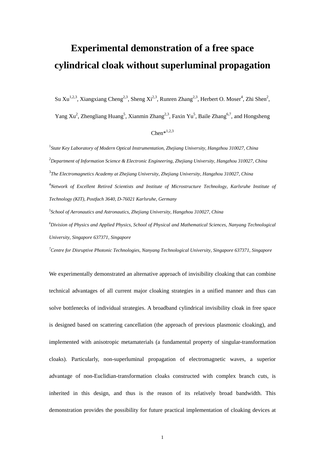# **Experimental demonstration of a free space cylindrical cloak without superluminal propagation**

Su Xu<sup>1,2,3</sup>, Xiangxiang Cheng<sup>2,3</sup>, Sheng Xi<sup>2,3</sup>, Runren Zhang<sup>2,3</sup>, Herbert O. Moser<sup>4</sup>, Zhi Shen<sup>2</sup>,

Yang Xu<sup>2</sup>, Zhengliang Huang<sup>5</sup>, Xianmin Zhang<sup>2,3</sup>, Faxin Yu<sup>5</sup>, Baile Zhang<sup>6,7</sup>, and Hongsheng

#### $Chen*^{1,2,3}$

<sup>1</sup> State Key Laboratory of Modern Optical Instrumentation, Zhejiang University, Hangzhou 310027, China 2 *Department of Information Science & Electronic Engineering, Zhejiang University, Hangzhou 310027, China*  3 *The Electromagnetics Academy at Zhejiang University, Zhejiang University, Hangzhou 310027, China*  4 *Network of Excellent Retired Scientists and Institute of Microstructure Technology, Karlsruhe Institute of Technology (KIT), Postfach 3640, D-76021 Karlsruhe, Germany* 

*5 School of Aeronautics and Astronautics, Zhejiang University, Hangzhou 310027, China 6 Division of Physics and Applied Physics, School of Physical and Mathematical Sciences, Nanyang Technological University, Singapore 637371, Singapore* 

*7 Centre for Disruptive Photonic Technologies, Nanyang Technological University, Singapore 637371, Singapore* 

We experimentally demonstrated an alternative approach of invisibility cloaking that can combine technical advantages of all current major cloaking strategies in a unified manner and thus can solve bottlenecks of individual strategies. A broadband cylindrical invisibility cloak in free space is designed based on scattering cancellation (the approach of previous plasmonic cloaking), and implemented with anisotropic metamaterials (a fundamental property of singular-transformation cloaks). Particularly, non-superluminal propagation of electromagnetic waves, a superior advantage of non-Euclidian-transformation cloaks constructed with complex branch cuts, is inherited in this design, and thus is the reason of its relatively broad bandwidth. This demonstration provides the possibility for future practical implementation of cloaking devices at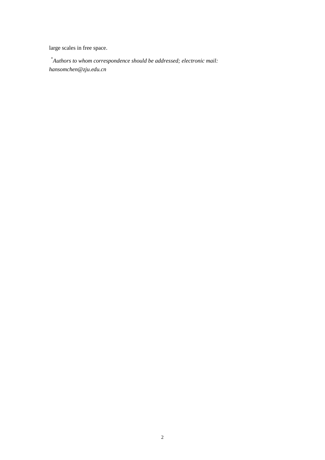large scales in free space.

 \**Authors to whom correspondence should be addressed; electronic mail: hansomchen@zju.edu.cn*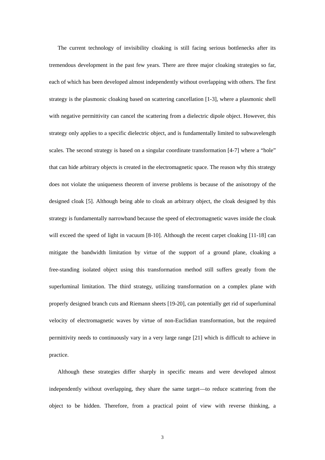The current technology of invisibility cloaking is still facing serious bottlenecks after its tremendous development in the past few years. There are three major cloaking strategies so far, each of which has been developed almost independently without overlapping with others. The first strategy is the plasmonic cloaking based on scattering cancellation [1-3], where a plasmonic shell with negative permittivity can cancel the scattering from a dielectric dipole object. However, this strategy only applies to a specific dielectric object, and is fundamentally limited to subwavelength scales. The second strategy is based on a singular coordinate transformation [4-7] where a "hole" that can hide arbitrary objects is created in the electromagnetic space. The reason why this strategy does not violate the uniqueness theorem of inverse problems is because of the anisotropy of the designed cloak [5]. Although being able to cloak an arbitrary object, the cloak designed by this strategy is fundamentally narrowband because the speed of electromagnetic waves inside the cloak will exceed the speed of light in vacuum [8-10]. Although the recent carpet cloaking [11-18] can mitigate the bandwidth limitation by virtue of the support of a ground plane, cloaking a free-standing isolated object using this transformation method still suffers greatly from the superluminal limitation. The third strategy, utilizing transformation on a complex plane with properly designed branch cuts and Riemann sheets [19-20], can potentially get rid of superluminal velocity of electromagnetic waves by virtue of non-Euclidian transformation, but the required permittivity needs to continuously vary in a very large range [21] which is difficult to achieve in practice.

Although these strategies differ sharply in specific means and were developed almost independently without overlapping, they share the same target—to reduce scattering from the object to be hidden. Therefore, from a practical point of view with reverse thinking, a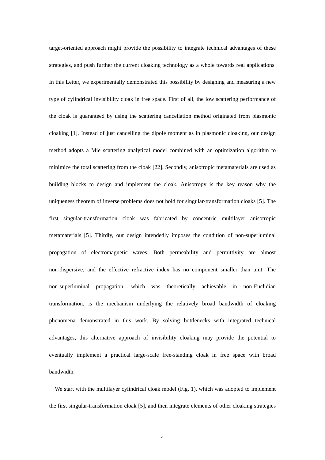target-oriented approach might provide the possibility to integrate technical advantages of these strategies, and push further the current cloaking technology as a whole towards real applications. In this Letter, we experimentally demonstrated this possibility by designing and measuring a new type of cylindrical invisibility cloak in free space. First of all, the low scattering performance of the cloak is guaranteed by using the scattering cancellation method originated from plasmonic cloaking [1]. Instead of just cancelling the dipole moment as in plasmonic cloaking, our design method adopts a Mie scattering analytical model combined with an optimization algorithm to minimize the total scattering from the cloak [22]. Secondly, anisotropic metamaterials are used as building blocks to design and implement the cloak. Anisotropy is the key reason why the uniqueness theorem of inverse problems does not hold for singular-transformation cloaks [5]. The first singular-transformation cloak was fabricated by concentric multilayer anisotropic metamaterials [5]. Thirdly, our design intendedly imposes the condition of non-superluminal propagation of electromagnetic waves. Both permeability and permittivity are almost non-dispersive, and the effective refractive index has no component smaller than unit. The non-superluminal propagation, which was theoretically achievable in non-Euclidian transformation, is the mechanism underlying the relatively broad bandwidth of cloaking phenomena demonstrated in this work. By solving bottlenecks with integrated technical advantages, this alternative approach of invisibility cloaking may provide the potential to eventually implement a practical large-scale free-standing cloak in free space with broad bandwidth.

We start with the multilayer cylindrical cloak model (Fig. 1), which was adopted to implement the first singular-transformation cloak [5], and then integrate elements of other cloaking strategies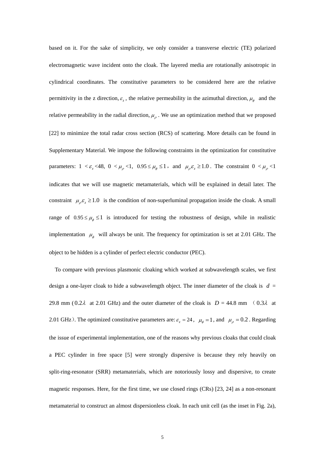based on it. For the sake of simplicity, we only consider a transverse electric (TE) polarized electromagnetic wave incident onto the cloak. The layered media are rotationally anisotropic in cylindrical coordinates. The constitutive parameters to be considered here are the relative permittivity in the z direction,  $\varepsilon$ , the relative permeability in the azimuthal direction,  $\mu_{\phi}$  and the relative permeability in the radial direction,  $\mu_{\rho}$ . We use an optimization method that we proposed [22] to minimize the total radar cross section (RCS) of scattering. More details can be found in Supplementary Material. We impose the following constraints in the optimization for constitutive parameters:  $1 < \varepsilon_z < 48$ ,  $0 < \mu_\rho < 1$ ,  $0.95 \le \mu_\phi \le 1$ , and  $\mu_\rho \varepsilon_z \ge 1.0$ . The constraint  $0 < \mu_\rho < 1$ indicates that we will use magnetic metamaterials, which will be explained in detail later. The constraint  $\mu_{\rho} \varepsilon_z \ge 1.0$  is the condition of non-superluminal propagation inside the cloak. A small range of  $0.95 \le \mu_{\phi} \le 1$  is introduced for testing the robustness of design, while in realistic implementation  $\mu_{\phi}$  will always be unit. The frequency for optimization is set at 2.01 GHz. The object to be hidden is a cylinder of perfect electric conductor (PEC).

To compare with previous plasmonic cloaking which worked at subwavelength scales, we first design a one-layer cloak to hide a subwavelength object. The inner diameter of the cloak is  $d =$ 29.8 mm (0.2 $\lambda$  at 2.01 GHz) and the outer diameter of the cloak is  $D = 44.8$  mm (0.3 $\lambda$  at 2.01 GHz). The optimized constitutive parameters are:  $\varepsilon_z = 24$ ,  $\mu_{\phi} = 1$ , and  $\mu_{\rho} = 0.2$ . Regarding the issue of experimental implementation, one of the reasons why previous cloaks that could cloak a PEC cylinder in free space [5] were strongly dispersive is because they rely heavily on split-ring-resonator (SRR) metamaterials, which are notoriously lossy and dispersive, to create magnetic responses. Here, for the first time, we use closed rings (CRs) [23, 24] as a non-resonant metamaterial to construct an almost dispersionless cloak. In each unit cell (as the inset in Fig. 2a),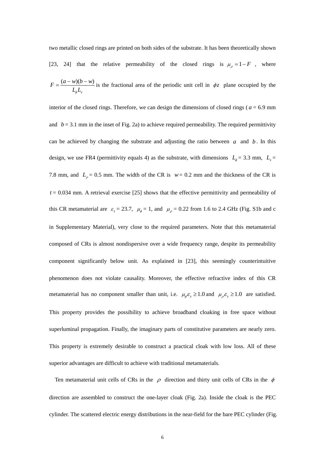two metallic closed rings are printed on both sides of the substrate. It has been theoretically shown [23, 24] that the relative permeability of the closed rings is  $\mu_{\rho} = 1 - F$ , where  $(a-w)($ *z*  $F = \frac{(a - w)(b - w)}{a - w}$  $L_{\phi}L$  $=\frac{(a-w)(b-w)}{a-w}$  is the fractional area of the periodic unit cell in  $\phi$ z plane occupied by the

interior of the closed rings. Therefore, we can design the dimensions of closed rings ( $a = 6.9$  mm and  $b = 3.1$  mm in the inset of Fig. 2a) to achieve required permeability. The required permittivity can be achieved by changing the substrate and adjusting the ratio between  $a$  and  $b$ . In this design, we use FR4 (permittivity equals 4) as the substrate, with dimensions  $L_{\phi} = 3.3$  mm,  $L_{z} =$ 7.8 mm, and  $L_{\rho} = 0.5$  mm. The width of the CR is  $w = 0.2$  mm and the thickness of the CR is  $t = 0.034$  mm. A retrieval exercise [25] shows that the effective permittivity and permeability of this CR metamaterial are  $\varepsilon_z = 23.7$ ,  $\mu_\phi = 1$ , and  $\mu_\rho = 0.22$  from 1.6 to 2.4 GHz (Fig. S1b and c in Supplementary Material), very close to the required parameters. Note that this metamaterial composed of CRs is almost nondispersive over a wide frequency range, despite its permeability component significantly below unit. As explained in [23], this seemingly counterintuitive phenomenon does not violate causality. Moreover, the effective refractive index of this CR metamaterial has no component smaller than unit, i.e.  $\mu_{\phi} \varepsilon_z \ge 1.0$  and  $\mu_{\rho} \varepsilon_z \ge 1.0$  are satisfied. This property provides the possibility to achieve broadband cloaking in free space without superluminal propagation. Finally, the imaginary parts of constitutive parameters are nearly zero. This property is extremely desirable to construct a practical cloak with low loss. All of these superior advantages are difficult to achieve with traditional metamaterials.

Ten metamaterial unit cells of CRs in the  $\rho$  direction and thirty unit cells of CRs in the  $\phi$ direction are assembled to construct the one-layer cloak (Fig. 2a). Inside the cloak is the PEC cylinder. The scattered electric energy distributions in the near-field for the bare PEC cylinder (Fig.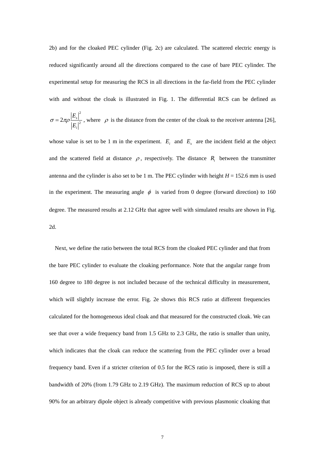2b) and for the cloaked PEC cylinder (Fig. 2c) are calculated. The scattered electric energy is reduced significantly around all the directions compared to the case of bare PEC cylinder. The experimental setup for measuring the RCS in all directions in the far-field from the PEC cylinder with and without the cloak is illustrated in Fig. 1. The differential RCS can be defined as

$$
\sigma = 2\pi \rho \frac{|E_s|^2}{|E_i|^2}
$$
, where  $\rho$  is the distance from the center of the clock to the receiver antenna [26],

whose value is set to be 1 m in the experiment.  $E_i$  and  $E_s$  are the incident field at the object and the scattered field at distance  $\rho$ , respectively. The distance  $R_i$  between the transmitter antenna and the cylinder is also set to be 1 m. The PEC cylinder with height  $H = 152.6$  mm is used in the experiment. The measuring angle  $\phi$  is varied from 0 degree (forward direction) to 160 degree. The measured results at 2.12 GHz that agree well with simulated results are shown in Fig. 2d.

 Next, we define the ratio between the total RCS from the cloaked PEC cylinder and that from the bare PEC cylinder to evaluate the cloaking performance. Note that the angular range from 160 degree to 180 degree is not included because of the technical difficulty in measurement, which will slightly increase the error. Fig. 2e shows this RCS ratio at different frequencies calculated for the homogeneous ideal cloak and that measured for the constructed cloak. We can see that over a wide frequency band from 1.5 GHz to 2.3 GHz, the ratio is smaller than unity, which indicates that the cloak can reduce the scattering from the PEC cylinder over a broad frequency band. Even if a stricter criterion of 0.5 for the RCS ratio is imposed, there is still a bandwidth of 20% (from 1.79 GHz to 2.19 GHz). The maximum reduction of RCS up to about 90% for an arbitrary dipole object is already competitive with previous plasmonic cloaking that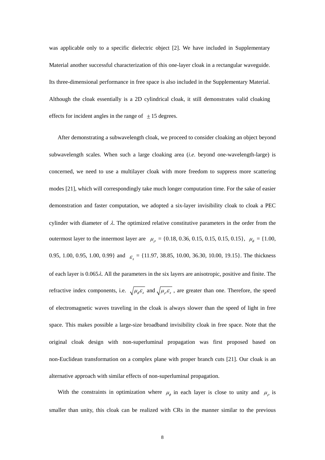was applicable only to a specific dielectric object [2]. We have included in Supplementary Material another successful characterization of this one-layer cloak in a rectangular waveguide. Its three-dimensional performance in free space is also included in the Supplementary Material. Although the cloak essentially is a 2D cylindrical cloak, it still demonstrates valid cloaking effects for incident angles in the range of  $\pm 15$  degrees.

After demonstrating a subwavelength cloak, we proceed to consider cloaking an object beyond subwavelength scales. When such a large cloaking area (*i.e.* beyond one-wavelength-large) is concerned, we need to use a multilayer cloak with more freedom to suppress more scattering modes [21], which will correspondingly take much longer computation time. For the sake of easier demonstration and faster computation, we adopted a six-layer invisibility cloak to cloak a PEC cylinder with diameter of  $\lambda$ . The optimized relative constitutive parameters in the order from the outermost layer to the innermost layer are  $\mu_{\rho} = \{0.18, 0.36, 0.15, 0.15, 0.15, 0.15\}$ ,  $\mu_{\phi} = \{1.00,$ 0.95, 1.00, 0.95, 1.00, 0.99} and  $\epsilon_z = \{11.97, 38.85, 10.00, 36.30, 10.00, 19.15\}$ . The thickness of each layer is  $0.065\lambda$ . All the parameters in the six layers are anisotropic, positive and finite. The refractive index components, i.e.  $\sqrt{\mu_{\phi} \varepsilon_z}$  and  $\sqrt{\mu_{\rho} \varepsilon_z}$ , are greater than one. Therefore, the speed of electromagnetic waves traveling in the cloak is always slower than the speed of light in free space. This makes possible a large-size broadband invisibility cloak in free space. Note that the original cloak design with non-superluminal propagation was first proposed based on non-Euclidean transformation on a complex plane with proper branch cuts [21]. Our cloak is an alternative approach with similar effects of non-superluminal propagation.

With the constraints in optimization where  $\mu_{\phi}$  in each layer is close to unity and  $\mu_{\phi}$  is smaller than unity, this cloak can be realized with CRs in the manner similar to the previous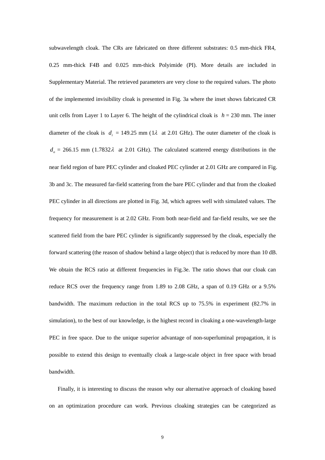subwavelength cloak. The CRs are fabricated on three different substrates: 0.5 mm-thick FR4, 0.25 mm-thick F4B and 0.025 mm-thick Polyimide (PI). More details are included in Supplementary Material. The retrieved parameters are very close to the required values. The photo of the implemented invisibility cloak is presented in Fig. 3a where the inset shows fabricated CR unit cells from Layer 1 to Layer 6. The height of the cylindrical cloak is  $h = 230$  mm. The inner diameter of the cloak is  $d_i = 149.25$  mm (1 $\lambda$  at 2.01 GHz). The outer diameter of the cloak is  $d<sub>o</sub> = 266.15$  mm (1.7832 $\lambda$  at 2.01 GHz). The calculated scattered energy distributions in the near field region of bare PEC cylinder and cloaked PEC cylinder at 2.01 GHz are compared in Fig. 3b and 3c. The measured far-field scattering from the bare PEC cylinder and that from the cloaked PEC cylinder in all directions are plotted in Fig. 3d, which agrees well with simulated values. The frequency for measurement is at 2.02 GHz. From both near-field and far-field results, we see the scattered field from the bare PEC cylinder is significantly suppressed by the cloak, especially the forward scattering (the reason of shadow behind a large object) that is reduced by more than 10 dB. We obtain the RCS ratio at different frequencies in Fig.3e. The ratio shows that our cloak can reduce RCS over the frequency range from 1.89 to 2.08 GHz, a span of 0.19 GHz or a 9.5% bandwidth. The maximum reduction in the total RCS up to 75.5% in experiment (82.7% in simulation), to the best of our knowledge, is the highest record in cloaking a one-wavelength-large PEC in free space. Due to the unique superior advantage of non-superluminal propagation, it is possible to extend this design to eventually cloak a large-scale object in free space with broad bandwidth.

Finally, it is interesting to discuss the reason why our alternative approach of cloaking based on an optimization procedure can work. Previous cloaking strategies can be categorized as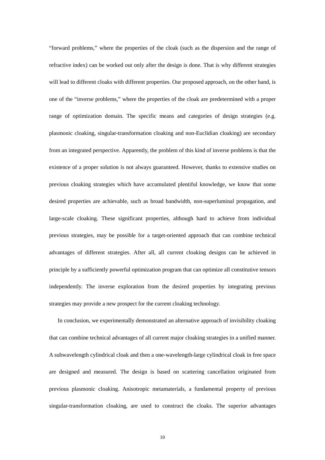"forward problems," where the properties of the cloak (such as the dispersion and the range of refractive index) can be worked out only after the design is done. That is why different strategies will lead to different cloaks with different properties. Our proposed approach, on the other hand, is one of the "inverse problems," where the properties of the cloak are predetermined with a proper range of optimization domain. The specific means and categories of design strategies (e.g. plasmonic cloaking, singular-transformation cloaking and non-Euclidian cloaking) are secondary from an integrated perspective. Apparently, the problem of this kind of inverse problems is that the existence of a proper solution is not always guaranteed. However, thanks to extensive studies on previous cloaking strategies which have accumulated plentiful knowledge, we know that some desired properties are achievable, such as broad bandwidth, non-superluminal propagation, and large-scale cloaking. These significant properties, although hard to achieve from individual previous strategies, may be possible for a target-oriented approach that can combine technical advantages of different strategies. After all, all current cloaking designs can be achieved in principle by a sufficiently powerful optimization program that can optimize all constitutive tensors independently. The inverse exploration from the desired properties by integrating previous strategies may provide a new prospect for the current cloaking technology.

In conclusion, we experimentally demonstrated an alternative approach of invisibility cloaking that can combine technical advantages of all current major cloaking strategies in a unified manner. A subwavelength cylindrical cloak and then a one-wavelength-large cylindrical cloak in free space are designed and measured. The design is based on scattering cancellation originated from previous plasmonic cloaking. Anisotropic metamaterials, a fundamental property of previous singular-transformation cloaking, are used to construct the cloaks. The superior advantages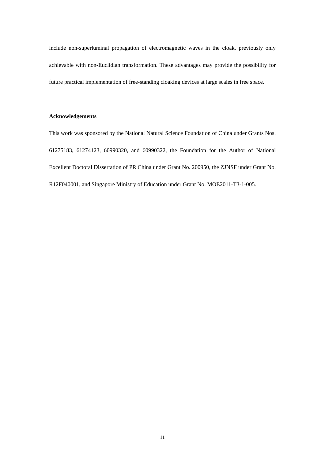include non-superluminal propagation of electromagnetic waves in the cloak, previously only achievable with non-Euclidian transformation. These advantages may provide the possibility for future practical implementation of free-standing cloaking devices at large scales in free space.

### **Acknowledgements**

This work was sponsored by the National Natural Science Foundation of China under Grants Nos. 61275183, 61274123, 60990320, and 60990322, the Foundation for the Author of National Excellent Doctoral Dissertation of PR China under Grant No. 200950, the ZJNSF under Grant No. R12F040001, and Singapore Ministry of Education under Grant No. MOE2011-T3-1-005.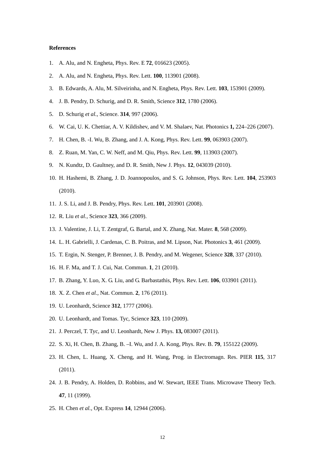#### **References**

- 1. A. Alu, and N. Engheta, Phys. Rev. E **72**, 016623 (2005).
- 2. A. Alu, and N. Engheta, Phys. Rev. Lett. **100**, 113901 (2008).
- 3. B. Edwards, A. Alu, M. Silveirinha, and N. Engheta, Phys. Rev. Lett. **103**, 153901 (2009).
- 4. J. B. Pendry, D. Schurig, and D. R. Smith, Science **312**, 1780 (2006).
- 5. D. Schurig *et al.*, Science. **314**, 997 (2006).
- 6. W. Cai, U. K. Chettiar, A. V. Kildishev, and V. M. Shalaev, Nat. Photonics **1,** 224–226 (2007).
- 7. H. Chen, B. -I. Wu, B. Zhang, and J. A. Kong, Phys. Rev. Lett. **99**, 063903 (2007).
- 8. Z. Ruan, M. Yan, C. W. Neff, and M. Qiu, Phys. Rev. Lett. **99**, 113903 (2007).
- 9. N. Kundtz, D. Gaultney, and D. R. Smith, New J. Phys. **12**, 043039 (2010).
- 10. H. Hashemi, B. Zhang, J. D. Joannopoulos, and S. G. Johnson, Phys. Rev. Lett. **104**, 253903 (2010).
- 11. J. S. Li, and J. B. Pendry, Phys. Rev. Lett. **101**, 203901 (2008).
- 12. R. Liu *et al.,* Science **323**, 366 (2009).
- 13. J. Valentine, J. Li, T. Zentgraf, G. Bartal, and X. Zhang, Nat. Mater. **8**, 568 (2009).
- 14. L. H. Gabrielli, J. Cardenas, C. B. Poitras, and M. Lipson, Nat. Photonics **3**, 461 (2009).
- 15. T. Ergin, N. Stenger, P. Brenner, J. B. Pendry, and M. Wegener, Science **328**, 337 (2010).
- 16. H. F. Ma, and T. J. Cui, Nat. Commun. **1**, 21 (2010).
- 17. B. Zhang, Y. Luo, X. G. Liu, and G. Barbastathis, Phys. Rev. Lett. **106**, 033901 (2011).
- 18. X. Z. Chen *et al.*, Nat. Commun. **2**, 176 (2011).
- 19. U. Leonhardt, Science **312**, 1777 (2006).
- 20. U. Leonhardt, and Tomas. Tyc, Science **323**, 110 (2009).
- 21. J. Perczel, T. Tyc, and U. Leonhardt, New J. Phys. **13,** 083007 (2011).
- 22. S. Xi, H. Chen, B. Zhang, B. –I. Wu, and J. A. Kong, Phys. Rev. B. **79**, 155122 (2009).
- 23. H. Chen, L. Huang, X. Cheng, and H. Wang, Prog. in Electromagn. Res. PIER **115**, 317 (2011).
- 24. J. B. Pendry, A. Holden, D. Robbins, and W. Stewart, IEEE Trans. Microwave Theory Tech. **47**, 11 (1999).
- 25. H. Chen *et al.*, Opt. Express **14**, 12944 (2006).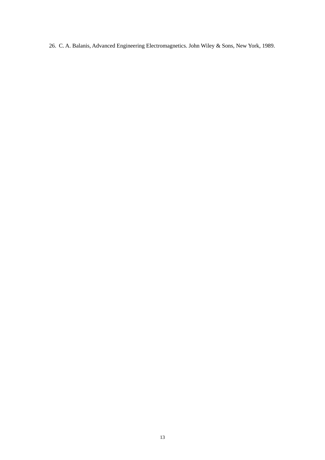26. C. A. Balanis, Advanced Engineering Electromagnetics. John Wiley & Sons, New York, 1989.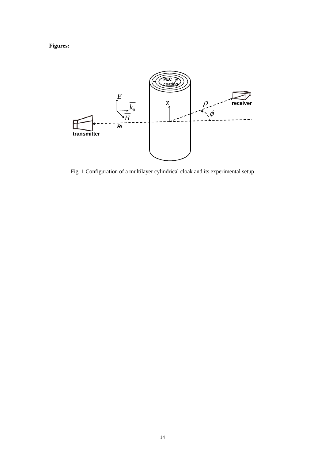## **Figures:**



Fig. 1 Configuration of a multilayer cylindrical cloak and its experimental setup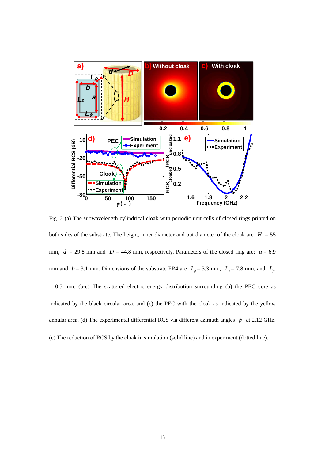

Fig. 2 (a) The subwavelength cylindrical cloak with periodic unit cells of closed rings printed on both sides of the substrate. The height, inner diameter and out diameter of the cloak are  $H = 55$ mm,  $d = 29.8$  mm and  $D = 44.8$  mm, respectively. Parameters of the closed ring are:  $a = 6.9$ mm and  $b = 3.1$  mm. Dimensions of the substrate FR4 are  $L_{\phi} = 3.3$  mm,  $L_{z} = 7.8$  mm, and  $L_{\phi}$  $= 0.5$  mm. (b-c) The scattered electric energy distribution surrounding (b) the PEC core as indicated by the black circular area, and (c) the PEC with the cloak as indicated by the yellow annular area. (d) The experimental differential RCS via different azimuth angles  $\phi$  at 2.12 GHz. (e) The reduction of RCS by the cloak in simulation (solid line) and in experiment (dotted line).